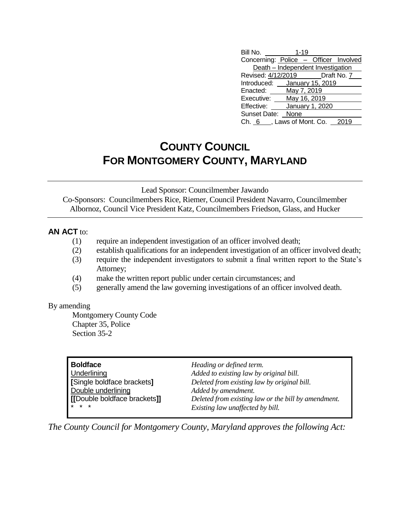| Bill No.                              | $1 - 19$        |              |  |
|---------------------------------------|-----------------|--------------|--|
| Concerning: Police - Officer Involved |                 |              |  |
| Death - Independent Investigation     |                 |              |  |
| Revised: 4/12/2019   Draft No. 7      |                 |              |  |
| Introduced: January 15, 2019          |                 |              |  |
| Enacted:                              | May 7, 2019     |              |  |
| Executive:                            |                 | May 16, 2019 |  |
| Effective:                            | January 1, 2020 |              |  |
| <b>Sunset Date:</b>                   | None            |              |  |
| Ch. 6 , Laws of Mont. Co.             |                 |              |  |

## **COUNTY COUNCIL FOR MONTGOMERY COUNTY, MARYLAND**

Lead Sponsor: Councilmember Jawando

Co-Sponsors: Councilmembers Rice, Riemer, Council President Navarro, Councilmember Albornoz, Council Vice President Katz, Councilmembers Friedson, Glass, and Hucker

## **AN ACT** to:

- (1) require an independent investigation of an officer involved death;
- (2) establish qualifications for an independent investigation of an officer involved death;
- (3) require the independent investigators to submit a final written report to the State's Attorney;
- (4) make the written report public under certain circumstances; and
- (5) generally amend the law governing investigations of an officer involved death.

## By amending

Montgomery County Code Chapter 35, Police Section 35-2

| Heading or defined term.<br>Added to existing law by original bill.<br>Deleted from existing law by original bill.<br>Added by amendment.<br>Deleted from existing law or the bill by amendment.<br>Existing law unaffected by bill. |
|--------------------------------------------------------------------------------------------------------------------------------------------------------------------------------------------------------------------------------------|
|                                                                                                                                                                                                                                      |
|                                                                                                                                                                                                                                      |

*The County Council for Montgomery County, Maryland approves the following Act:*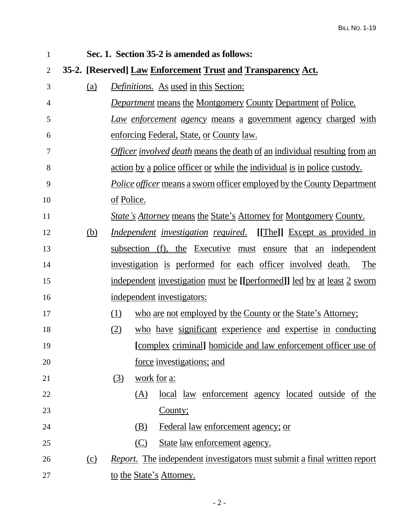| $\mathbf{1}$   |     |                                                                                 |             | Sec. 1. Section 35-2 is amended as follows:                                      |
|----------------|-----|---------------------------------------------------------------------------------|-------------|----------------------------------------------------------------------------------|
| $\overline{2}$ |     |                                                                                 |             | 35-2. [Reserved] Law Enforcement Trust and Transparency Act.                     |
| 3              | (a) |                                                                                 |             | Definitions. As used in this Section:                                            |
| $\overline{4}$ |     |                                                                                 |             | <b>Department means the Montgomery County Department of Police.</b>              |
| 5              |     |                                                                                 |             | Law enforcement agency means a government agency charged with                    |
| 6              |     |                                                                                 |             | enforcing Federal, State, or County law.                                         |
| 7              |     |                                                                                 |             | <i>Officer involved death</i> means the death of an individual resulting from an |
| 8              |     | <u>action by a police officer or while the individual is in police custody.</u> |             |                                                                                  |
| 9              |     | <i>Police officer</i> means a sworn officer employed by the County Department   |             |                                                                                  |
| 10             |     | of Police.                                                                      |             |                                                                                  |
| 11             |     |                                                                                 |             | <i>State's Attorney</i> means the State's Attorney for Montgomery County.        |
| 12             | (b) |                                                                                 |             | <i>Independent investigation required.</i> [[The]] Except as provided in         |
| 13             |     |                                                                                 |             | subsection (f), the Executive must ensure that an independent                    |
| 14             |     |                                                                                 |             | investigation is performed for each officer involved death.<br>The               |
| 15             |     |                                                                                 |             | independent investigation must be [[performed]] led by at least 2 sworn          |
| 16             |     |                                                                                 |             | independent investigators:                                                       |
| 17             |     | (1)                                                                             |             | who are not employed by the County or the State's Attorney;                      |
| 18             |     | (2)                                                                             |             | who have significant experience and expertise in conducting                      |
| 19             |     |                                                                                 |             | <u>complex criminal] homicide and law enforcement officer use of</u>             |
| 20             |     |                                                                                 |             | force investigations; and                                                        |
| 21             |     | (3)                                                                             | work for a: |                                                                                  |
| 22             |     |                                                                                 | (A)         | <u>local law enforcement agency located outside of the</u>                       |
| 23             |     |                                                                                 |             | County;                                                                          |
| 24             |     |                                                                                 | (B)         | Federal law enforcement agency; or                                               |
| 25             |     |                                                                                 | (C)         | State law enforcement agency.                                                    |
| 26             | (c) |                                                                                 |             | <i>Report.</i> The independent investigators must submit a final written report  |
| 27             |     |                                                                                 |             | to the State's Attorney.                                                         |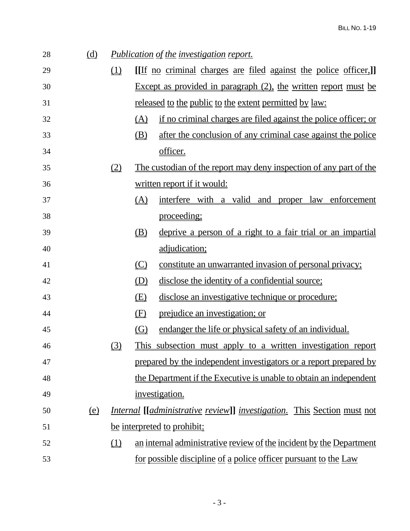| 28 | <u>(d)</u> |                               |                               | <i>Publication of the investigation report.</i>                                        |
|----|------------|-------------------------------|-------------------------------|----------------------------------------------------------------------------------------|
| 29 |            | (1)                           |                               | <u>[If no criminal charges are filed against the police officer,]</u>                  |
| 30 |            |                               |                               | Except as provided in paragraph $(2)$ , the written report must be                     |
| 31 |            |                               |                               | <u>released to the public to the extent permitted by law:</u>                          |
| 32 |            |                               | <u>(A)</u>                    | if no criminal charges are filed against the police officer; or                        |
| 33 |            |                               | (B)                           | after the conclusion of any criminal case against the police                           |
| 34 |            |                               |                               | officer.                                                                               |
| 35 |            | $\underline{\textcircled{2}}$ |                               | The custodian of the report may deny inspection of any part of the                     |
| 36 |            |                               |                               | written report if it would:                                                            |
| 37 |            |                               | (A)                           | interfere with a valid and proper law enforcement                                      |
| 38 |            |                               |                               | proceeding;                                                                            |
| 39 |            |                               | (B)                           | deprive a person of a right to a fair trial or an impartial                            |
| 40 |            |                               |                               | adjudication;                                                                          |
| 41 |            |                               | $\left(\underline{C}\right)$  | constitute an unwarranted invasion of personal privacy;                                |
| 42 |            |                               | $\underline{\textcircled{D}}$ | disclose the identity of a confidential source;                                        |
| 43 |            |                               | (E)                           | disclose an investigative technique or procedure;                                      |
| 44 |            |                               | (E)                           | prejudice an investigation; or                                                         |
| 45 |            |                               | $\left($ G $\right)$          | endanger the life or physical safety of an individual.                                 |
| 46 |            | (3)                           |                               | This subsection must apply to a written investigation report                           |
| 47 |            |                               |                               | prepared by the independent investigators or a report prepared by                      |
| 48 |            |                               |                               | the Department if the Executive is unable to obtain an independent                     |
| 49 |            |                               |                               | investigation.                                                                         |
| 50 | <u>(e)</u> |                               |                               | <i>Internal</i> [ <i>[administrative review]] investigation.</i> This Section must not |
| 51 |            |                               |                               | be interpreted to prohibit:                                                            |
| 52 |            | $\Box$                        |                               | an internal administrative review of the incident by the Department                    |
| 53 |            |                               |                               | <u>for possible discipline of a police officer pursuant to the Law</u>                 |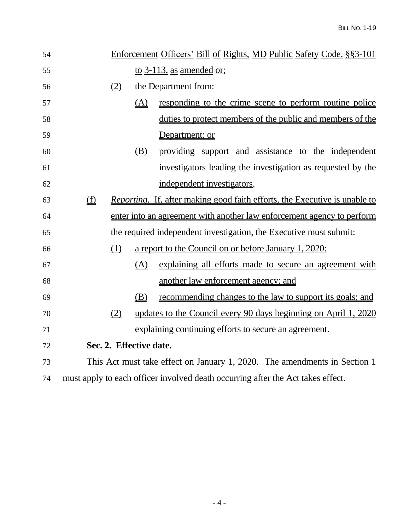| 54 |                                                                                 |     | Enforcement Officers' Bill of Rights, MD Public Safety Code, §§3-101              |
|----|---------------------------------------------------------------------------------|-----|-----------------------------------------------------------------------------------|
| 55 |                                                                                 |     | to 3-113, as amended $or$ ;                                                       |
| 56 | (2)                                                                             |     | the Department from:                                                              |
| 57 |                                                                                 | (A) | responding to the crime scene to perform routine police                           |
| 58 |                                                                                 |     | duties to protect members of the public and members of the                        |
| 59 |                                                                                 |     | Department; or                                                                    |
| 60 |                                                                                 | (B) | providing support and assistance to the independent                               |
| 61 |                                                                                 |     | investigators leading the investigation as requested by the                       |
| 62 |                                                                                 |     | independent investigators.                                                        |
| 63 | (f)                                                                             |     | <i>Reporting.</i> If, after making good faith efforts, the Executive is unable to |
| 64 |                                                                                 |     | enter into an agreement with another law enforcement agency to perform            |
| 65 |                                                                                 |     | the required independent investigation, the Executive must submit:                |
| 66 | (1)                                                                             |     | a report to the Council on or before January 1, 2020:                             |
| 67 |                                                                                 | (A) | explaining all efforts made to secure an agreement with                           |
| 68 |                                                                                 |     | another law enforcement agency; and                                               |
| 69 |                                                                                 | (B) | <u>recommending changes to the law to support its goals; and</u>                  |
| 70 | (2)                                                                             |     | updates to the Council every 90 days beginning on April 1, 2020                   |
| 71 |                                                                                 |     | explaining continuing efforts to secure an agreement.                             |
| 72 | Sec. 2. Effective date.                                                         |     |                                                                                   |
| 73 |                                                                                 |     | This Act must take effect on January 1, 2020. The amendments in Section 1         |
| 74 | must apply to each officer involved death occurring after the Act takes effect. |     |                                                                                   |